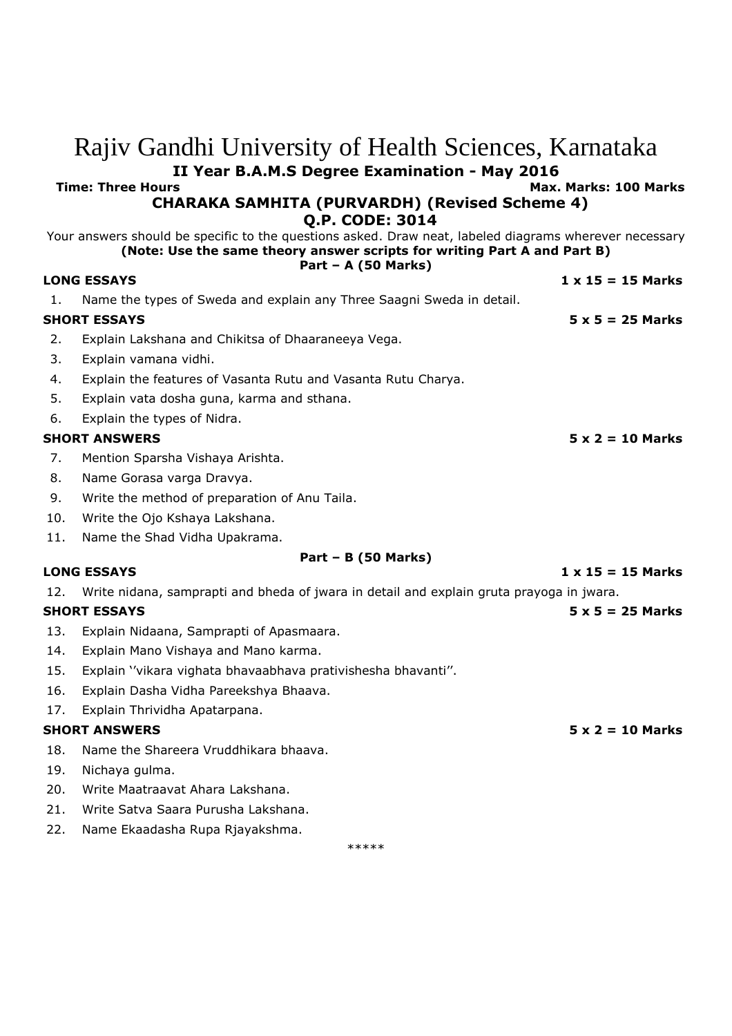## Rajiv Gandhi University of Health Sciences, Karnataka **II Year B.A.M.S Degree Examination - May 2016 Time: Three Hours Max. Marks: 100 Marks CHARAKA SAMHITA (PURVARDH) (Revised Scheme 4) Q.P. CODE: 3014** Your answers should be specific to the questions asked. Draw neat, labeled diagrams wherever necessary **(Note: Use the same theory answer scripts for writing Part A and Part B) Part – A (50 Marks) LONG ESSAYS 1 x 15 = 15 Marks** 1. Name the types of Sweda and explain any Three Saagni Sweda in detail. **SHORT ESSAYS 5 x 5 = 25 Marks** 2. Explain Lakshana and Chikitsa of Dhaaraneeya Vega. 3. Explain vamana vidhi. 4. Explain the features of Vasanta Rutu and Vasanta Rutu Charya. 5. Explain vata dosha guna, karma and sthana. 6. Explain the types of Nidra. **SHORT ANSWERS 5 x 2 = 10 Marks** 7. Mention Sparsha Vishaya Arishta. 8. Name Gorasa varga Dravya. 9. Write the method of preparation of Anu Taila. 10. Write the Ojo Kshaya Lakshana. 11. Name the Shad Vidha Upakrama. **Part – B (50 Marks) LONG ESSAYS 1 x 15 = 15 Marks** 12. Write nidana, samprapti and bheda of jwara in detail and explain gruta prayoga in jwara. **SHORT ESSAYS 5 x 5 = 25 Marks** 13. Explain Nidaana, Samprapti of Apasmaara. 14. Explain Mano Vishaya and Mano karma. 15. Explain ''vikara vighata bhavaabhava prativishesha bhavanti''. 16. Explain Dasha Vidha Pareekshya Bhaava. 17. Explain Thrividha Apatarpana. **SHORT ANSWERS 5 x 2 = 10 Marks** 18. Name the Shareera Vruddhikara bhaava. 19. Nichaya gulma. 20. Write Maatraavat Ahara Lakshana. 21. Write Satva Saara Purusha Lakshana. 22. Name Ekaadasha Rupa Rjayakshma.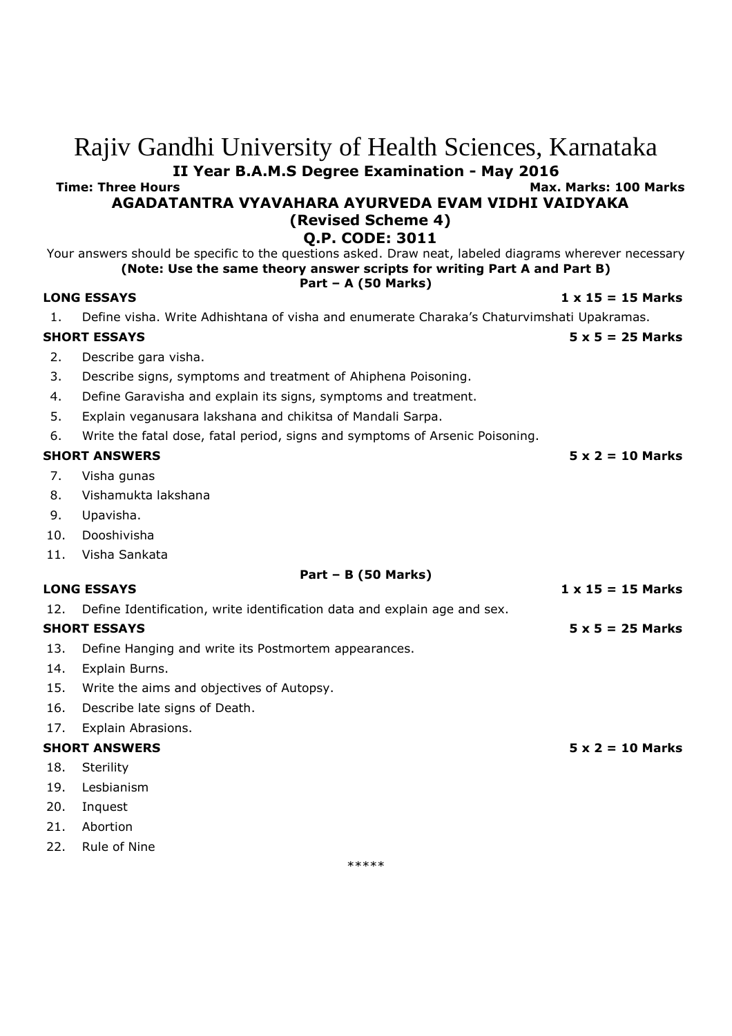## **II Year B.A.M.S Degree Examination - May 2016 Time: Three Hours Max. Marks: 100 Marks AGADATANTRA VYAVAHARA AYURVEDA EVAM VIDHI VAIDYAKA (Revised Scheme 4) Q.P. CODE: 3011** Your answers should be specific to the questions asked. Draw neat, labeled diagrams wherever necessary **(Note: Use the same theory answer scripts for writing Part A and Part B) Part – A (50 Marks) LONG ESSAYS 1 x 15 = 15 Marks** 1. Define visha. Write Adhishtana of visha and enumerate Charaka's Chaturvimshati Upakramas. **SHORT ESSAYS 5 x 5 = 25 Marks** 2. Describe gara visha. 3. Describe signs, symptoms and treatment of Ahiphena Poisoning. 4. Define Garavisha and explain its signs, symptoms and treatment. 5. Explain veganusara lakshana and chikitsa of Mandali Sarpa. 6. Write the fatal dose, fatal period, signs and symptoms of Arsenic Poisoning. **SHORT ANSWERS 5 x 2 = 10 Marks** 7. Visha gunas 8. Vishamukta lakshana 9. Upavisha. 10. Dooshivisha 11. Visha Sankata **Part – B (50 Marks) LONG ESSAYS 1 x 15 = 15 Marks** 12. Define Identification, write identification data and explain age and sex. **SHORT ESSAYS 5 x 5 = 25 Marks** 13. Define Hanging and write its Postmortem appearances. 14. Explain Burns. 15. Write the aims and objectives of Autopsy. 16. Describe late signs of Death. 17. Explain Abrasions. **SHORT ANSWERS 5 x 2 = 10 Marks** 18. Sterility 19. Lesbianism 20. Inquest 21. Abortion 22. Rule of Nine

Rajiv Gandhi University of Health Sciences, Karnataka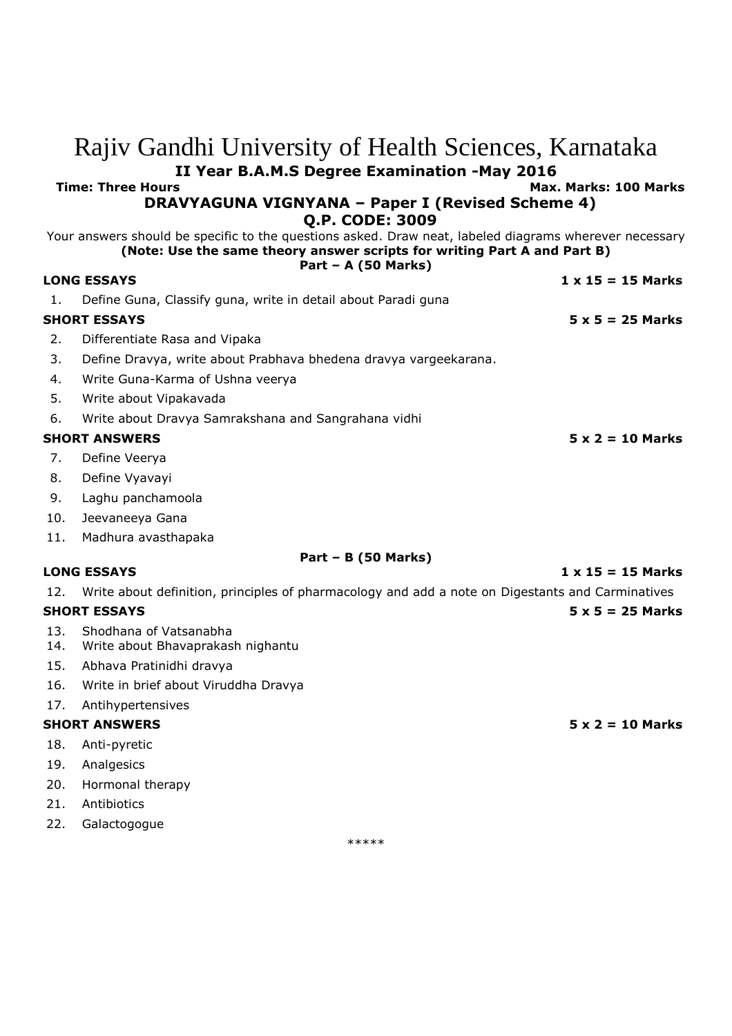|                                                 | Rajiv Gandhi University of Health Sciences, Karnataka                                                                            |                          |
|-------------------------------------------------|----------------------------------------------------------------------------------------------------------------------------------|--------------------------|
|                                                 | II Year B.A.M.S Degree Examination -May 2016                                                                                     |                          |
|                                                 | <b>Time: Three Hours</b>                                                                                                         | Max. Marks: 100 Marks    |
|                                                 | <b>DRAVYAGUNA VIGNYANA - Paper I (Revised Scheme 4)</b>                                                                          |                          |
|                                                 | <b>Q.P. CODE: 3009</b><br>Your answers should be specific to the questions asked. Draw neat, labeled diagrams wherever necessary |                          |
|                                                 | (Note: Use the same theory answer scripts for writing Part A and Part B)                                                         |                          |
|                                                 | Part – A $(50$ Marks)<br><b>LONG ESSAYS</b>                                                                                      | $1 \times 15 = 15$ Marks |
| 1.                                              | Define Guna, Classify guna, write in detail about Paradi guna                                                                    |                          |
|                                                 | <b>SHORT ESSAYS</b>                                                                                                              | $5 \times 5 = 25$ Marks  |
| 2.                                              | Differentiate Rasa and Vipaka                                                                                                    |                          |
| 3.                                              | Define Dravya, write about Prabhava bhedena dravya vargeekarana.                                                                 |                          |
| 4.                                              | Write Guna-Karma of Ushna veerya                                                                                                 |                          |
| 5.                                              | Write about Vipakavada                                                                                                           |                          |
| 6.                                              | Write about Dravya Samrakshana and Sangrahana vidhi                                                                              |                          |
| <b>SHORT ANSWERS</b><br>$5 \times 2 = 10$ Marks |                                                                                                                                  |                          |
| 7.                                              | Define Veerya                                                                                                                    |                          |
| 8.                                              | Define Vyavayi                                                                                                                   |                          |
| 9.                                              | Laghu panchamoola                                                                                                                |                          |
| 10.                                             | Jeevaneeya Gana                                                                                                                  |                          |
| 11.                                             | Madhura avasthapaka                                                                                                              |                          |
|                                                 | $Part - B (50 Marks)$                                                                                                            |                          |
|                                                 | <b>LONG ESSAYS</b>                                                                                                               | $1 \times 15 = 15$ Marks |
| 12.                                             | Write about definition, principles of pharmacology and add a note on Digestants and Carminatives                                 |                          |
|                                                 | <b>SHORT ESSAYS</b>                                                                                                              | $5 \times 5 = 25$ Marks  |
| 13.<br>14.                                      | Shodhana of Vatsanabha<br>Write about Bhavaprakash nighantu                                                                      |                          |
| 15.                                             | Abhava Pratinidhi dravya                                                                                                         |                          |
|                                                 | 16. Write in brief about Viruddha Dravya                                                                                         |                          |
| 17.                                             | Antihypertensives                                                                                                                |                          |
|                                                 | <b>SHORT ANSWERS</b>                                                                                                             | $5 \times 2 = 10$ Marks  |
| 18.                                             | Anti-pyretic                                                                                                                     |                          |
| 19.                                             | Analgesics                                                                                                                       |                          |
| 20.                                             | Hormonal therapy                                                                                                                 |                          |
| 21.                                             | Antibiotics                                                                                                                      |                          |
|                                                 |                                                                                                                                  |                          |

22. Galactogogue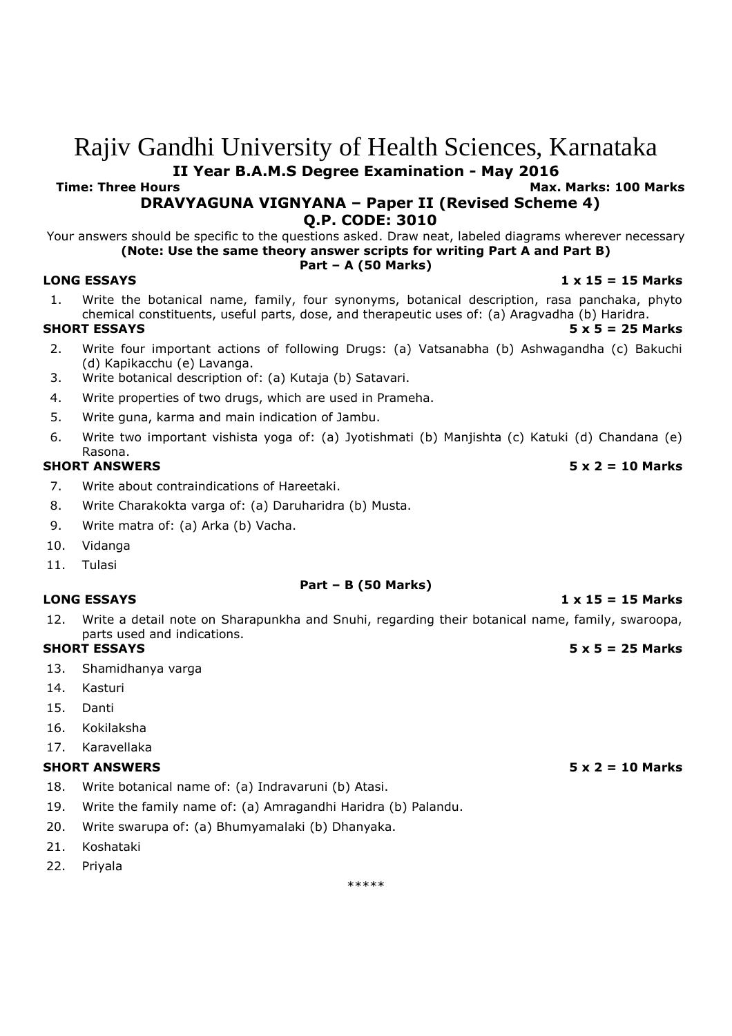# Rajiv Gandhi University of Health Sciences, Karnataka **II Year B.A.M.S Degree Examination - May 2016**

**Time: Three Hours Max. Marks: 100 Marks**

# **DRAVYAGUNA VIGNYANA – Paper II (Revised Scheme 4) Q.P. CODE: 3010**

Your answers should be specific to the questions asked. Draw neat, labeled diagrams wherever necessary **(Note: Use the same theory answer scripts for writing Part A and Part B)**

#### **Part – A (50 Marks)**

#### **LONG ESSAYS 1 x 15 = 15 Marks**

- 1. Write the botanical name, family, four synonyms, botanical description, rasa panchaka, phyto chemical constituents, useful parts, dose, and therapeutic uses of: (a) Aragvadha (b) Haridra. **SHORT ESSAYS 5 x 5 = 25 Marks**
- 2. Write four important actions of following Drugs: (a) Vatsanabha (b) Ashwagandha (c) Bakuchi (d) Kapikacchu (e) Lavanga.
- 3. Write botanical description of: (a) Kutaja (b) Satavari.
- 4. Write properties of two drugs, which are used in Prameha.
- 5. Write guna, karma and main indication of Jambu.
- 6. Write two important vishista yoga of: (a) Jyotishmati (b) Manjishta (c) Katuki (d) Chandana (e) Rasona.

- 7. Write about contraindications of Hareetaki.
- 8. Write Charakokta varga of: (a) Daruharidra (b) Musta.
- 9. Write matra of: (a) Arka (b) Vacha.
- 10. Vidanga
- 11. Tulasi

#### **Part – B (50 Marks) LONG ESSAYS 1 x 15 = 15 Marks**

12. Write a detail note on Sharapunkha and Snuhi, regarding their botanical name, family, swaroopa, parts used and indications.

### **SHORT ESSAYS 5 x 5 = 25 Marks**

- 13. Shamidhanya varga
- 14. Kasturi
- 15. Danti
- 16. Kokilaksha
- 17. Karavellaka

#### **SHORT ANSWERS 5 x 2 = 10 Marks**

- 18. Write botanical name of: (a) Indravaruni (b) Atasi.
- 19. Write the family name of: (a) Amragandhi Haridra (b) Palandu.
- 20. Write swarupa of: (a) Bhumyamalaki (b) Dhanyaka.
- 21. Koshataki
- 22. Priyala

\*\*\*\*\*

### **SHORT ANSWERS 5 x 2 = 10 Marks**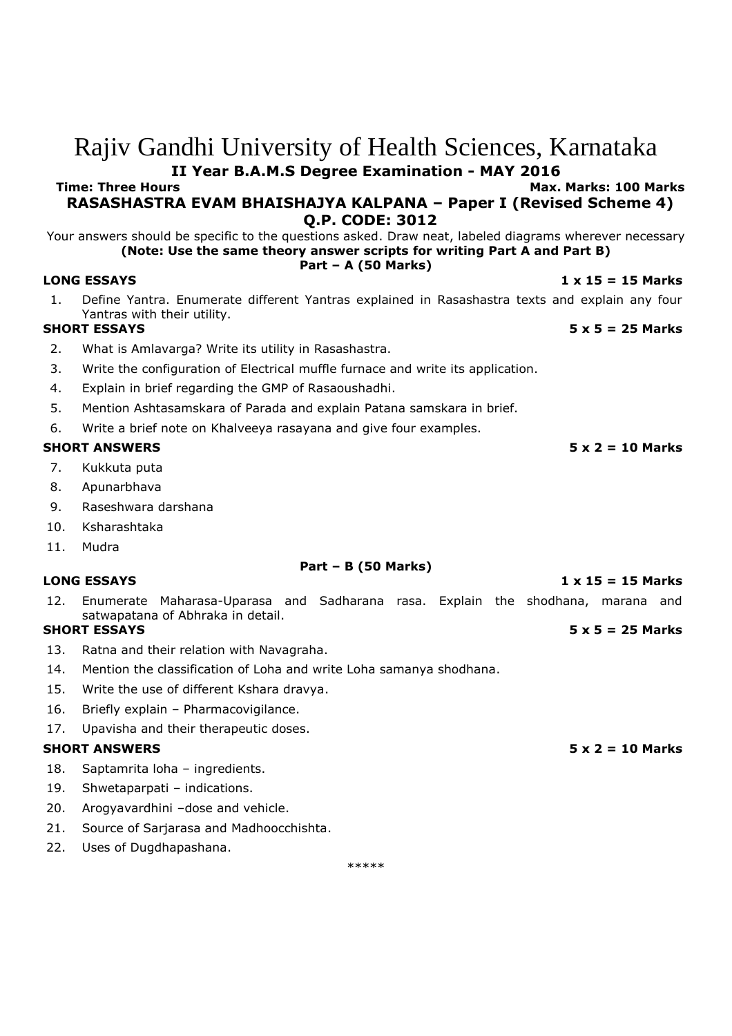# Rajiv Gandhi University of Health Sciences, Karnataka **II Year B.A.M.S Degree Examination - MAY 2016**

**Time: Three Hours Max. Marks: 100 Marks**

**RASASHASTRA EVAM BHAISHAJYA KALPANA – Paper I (Revised Scheme 4) Q.P. CODE: 3012**

Your answers should be specific to the questions asked. Draw neat, labeled diagrams wherever necessary **(Note: Use the same theory answer scripts for writing Part A and Part B)**

#### **Part – A (50 Marks)**

#### **LONG ESSAYS 1 x 15 = 15 Marks**

1. Define Yantra. Enumerate different Yantras explained in Rasashastra texts and explain any four Yantras with their utility.

- 2. What is Amlavarga? Write its utility in Rasashastra.
- 3. Write the configuration of Electrical muffle furnace and write its application.
- 4. Explain in brief regarding the GMP of Rasaoushadhi.
- 5. Mention Ashtasamskara of Parada and explain Patana samskara in brief.
- 6. Write a brief note on Khalveeya rasayana and give four examples.

#### **SHORT ANSWERS 5 x 2 = 10 Marks**

- 7. Kukkuta puta
- 8. Apunarbhava
- 9. Raseshwara darshana
- 10. Ksharashtaka
- 11. Mudra

### **Part – B (50 Marks)**

### **LONG ESSAYS 1 x 15 = 15 Marks**

12. Enumerate Maharasa-Uparasa and Sadharana rasa. Explain the shodhana, marana and satwapatana of Abhraka in detail.

### **SHORT ESSAYS 5 x 5 = 25 Marks**

- 13. Ratna and their relation with Navagraha.
- 14. Mention the classification of Loha and write Loha samanya shodhana.
- 15. Write the use of different Kshara dravya.
- 16. Briefly explain Pharmacovigilance.

### 17. Upavisha and their therapeutic doses.

#### **SHORT ANSWERS 5 x 2 = 10 Marks**

- 18. Saptamrita loha ingredients.
- 19. Shwetaparpati indications.
- 20. Arogyavardhini –dose and vehicle.
- 21. Source of Sarjarasa and Madhoocchishta.
- 22. Uses of Dugdhapashana.

\*\*\*\*\*

### **SHORT ESSAYS 5 x 5 = 25 Marks**